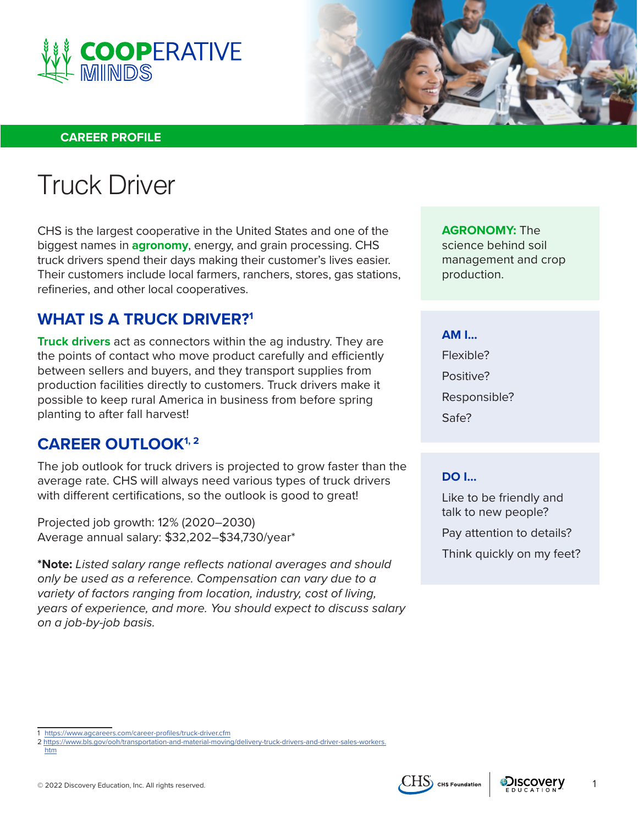



#### **CAREER PROFILE**

# Truck Driver

CHS is the largest cooperative in the United States and one of the biggest names in **agronomy**, energy, and grain processing. CHS truck drivers spend their days making their customer's lives easier. Their customers include local farmers, ranchers, stores, gas stations, refineries, and other local cooperatives.

## **WHAT IS A TRUCK DRIVER?1**

**Truck drivers** act as connectors within the ag industry. They are the points of contact who move product carefully and efficiently between sellers and buyers, and they transport supplies from production facilities directly to customers. Truck drivers make it possible to keep rural America in business from before spring planting to after fall harvest!

### **CAREER OUTLOOK1, 2**

The job outlook for truck drivers is projected to grow faster than the average rate. CHS will always need various types of truck drivers with different certifications, so the outlook is good to great!

Projected job growth: 12% (2020–2030) Average annual salary: \$32,202–\$34,730/year\*

**\*Note:** *Listed salary range reflects national averages and should only be used as a reference. Compensation can vary due to a variety of factors ranging from location, industry, cost of living, years of experience, and more. You should expect to discuss salary on a job-by-job basis.*

**AGRONOMY:** The science behind soil management and crop production.

#### **AM I...**

Flexible? Positive? Responsible? Safe?

#### **DO I...**

Like to be friendly and talk to new people?

Pay attention to details? Think quickly on my feet?





<sup>1</sup> <https://www.agcareers.com/career-profiles/truck-driver.cfm>

<sup>2</sup> [https://www.bls.gov/ooh/transportation-and-material-moving/delivery-truck-drivers-and-driver-sales-workers.](https://www.bls.gov/ooh/transportation-and-material-moving/delivery-truck-drivers-and-driver-sales-workers.htm) [htm](https://www.bls.gov/ooh/transportation-and-material-moving/delivery-truck-drivers-and-driver-sales-workers.htm)